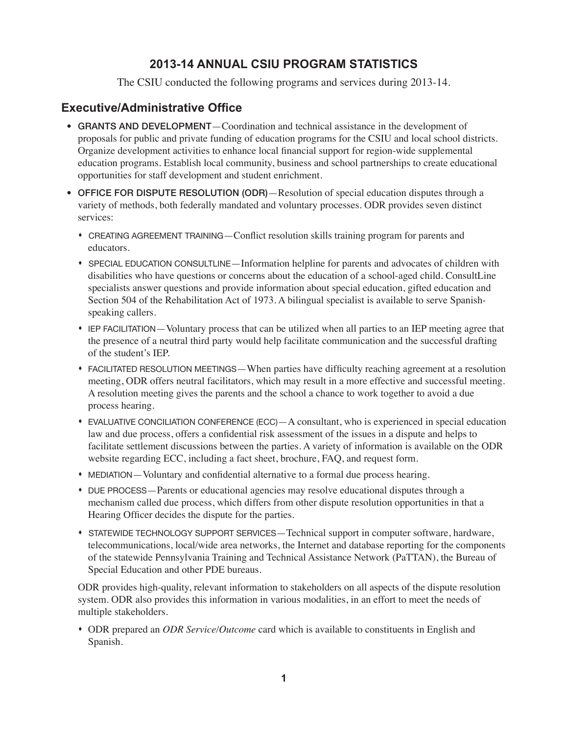### **2013-14 ANNUAL CSIU PROGRAM STATISTICS**

The CSIU conducted the following programs and services during 2013-14.

## **Executive/Administrative Office**

- GRANTS AND DEVELOPMENT—Coordination and technical assistance in the development of proposals for public and private funding of education programs for the CSIU and local school districts. Organize development activities to enhance local financial support for region-wide supplemental education programs. Establish local community, business and school partnerships to create educational opportunities for staff development and student enrichment.
- **OFFICE FOR DISPUTE RESOLUTION (ODR)**—Resolution of special education disputes through a variety of methods, both federally mandated and voluntary processes. ODR provides seven distinct services:
	- s CREATING AGREEMENT TRAINING—Conflict resolution skills training program for parents and educators.
	- s SPECIAL EDUCATION CONSULTLINE—Information helpline for parents and advocates of children with disabilities who have questions or concerns about the education of a school-aged child. ConsultLine specialists answer questions and provide information about special education, gifted education and Section 504 of the Rehabilitation Act of 1973. A bilingual specialist is available to serve Spanishspeaking callers.
	- s IEP FACILITATION—Voluntary process that can be utilized when all parties to an IEP meeting agree that the presence of a neutral third party would help facilitate communication and the successful drafting of the student's IEP.
	- s FACILITATED RESOLUTION MEETINGS—When parties have difficulty reaching agreement at a resolution meeting, ODR offers neutral facilitators, which may result in a more effective and successful meeting. A resolution meeting gives the parents and the school a chance to work together to avoid a due process hearing.
	- $\bullet$  EVALUATIVE CONCILIATION CONFERENCE (ECC)  $-A$  consultant, who is experienced in special education law and due process, offers a confidential risk assessment of the issues in a dispute and helps to facilitate settlement discussions between the parties. A variety of information is available on the ODR website regarding ECC, including a fact sheet, brochure, FAQ, and request form.
	- MEDIATION—Voluntary and confidential alternative to a formal due process hearing.
	- s DUE PROCESS—Parents or educational agencies may resolve educational disputes through a mechanism called due process, which differs from other dispute resolution opportunities in that a Hearing Officer decides the dispute for the parties.
	- s STATEWIDE TECHNOLOGY SUPPORT SERVICES—Technical support in computer software, hardware, telecommunications, local/wide area networks, the Internet and database reporting for the components of the statewide Pennsylvania Training and Technical Assistance Network (PaTTAN), the Bureau of Special Education and other PDE bureaus.

ODR provides high-quality, relevant information to stakeholders on all aspects of the dispute resolution system. ODR also provides this information in various modalities, in an effort to meet the needs of multiple stakeholders.

s ODR prepared an *ODR Service/Outcome* card which is available to constituents in English and Spanish.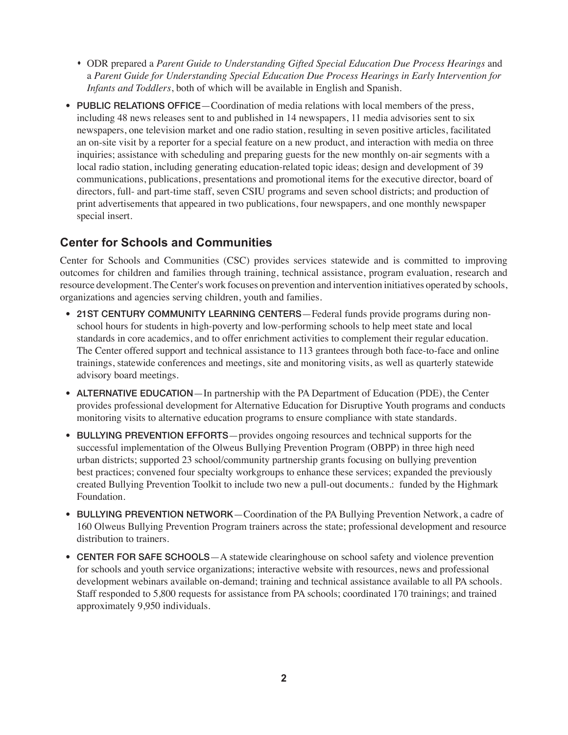- s ODR prepared a *Parent Guide to Understanding Gifted Special Education Due Process Hearings* and a *Parent Guide for Understanding Special Education Due Process Hearings in Early Intervention for Infants and Toddlers*, both of which will be available in English and Spanish.
- PUBLIC RELATIONS OFFICE—Coordination of media relations with local members of the press, including 48 news releases sent to and published in 14 newspapers, 11 media advisories sent to six newspapers, one television market and one radio station, resulting in seven positive articles, facilitated an on-site visit by a reporter for a special feature on a new product, and interaction with media on three inquiries; assistance with scheduling and preparing guests for the new monthly on-air segments with a local radio station, including generating education-related topic ideas; design and development of 39 communications, publications, presentations and promotional items for the executive director, board of directors, full- and part-time staff, seven CSIU programs and seven school districts; and production of print advertisements that appeared in two publications, four newspapers, and one monthly newspaper special insert.

#### **Center for Schools and Communities**

Center for Schools and Communities (CSC) provides services statewide and is committed to improving outcomes for children and families through training, technical assistance, program evaluation, research and resource development. The Center's work focuses on prevention and intervention initiatives operated by schools, organizations and agencies serving children, youth and families.

- 21ST CENTURY COMMUNITY LEARNING CENTERS—Federal funds provide programs during nonschool hours for students in high-poverty and low-performing schools to help meet state and local standards in core academics, and to offer enrichment activities to complement their regular education. The Center offered support and technical assistance to 113 grantees through both face-to-face and online trainings, statewide conferences and meetings, site and monitoring visits, as well as quarterly statewide advisory board meetings.
- ALTERNATIVE EDUCATION—In partnership with the PA Department of Education (PDE), the Center provides professional development for Alternative Education for Disruptive Youth programs and conducts monitoring visits to alternative education programs to ensure compliance with state standards.
- BULLYING PREVENTION EFFORTS—provides ongoing resources and technical supports for the successful implementation of the Olweus Bullying Prevention Program (OBPP) in three high need urban districts; supported 23 school/community partnership grants focusing on bullying prevention best practices; convened four specialty workgroups to enhance these services; expanded the previously created Bullying Prevention Toolkit to include two new a pull-out documents.: funded by the Highmark Foundation.
- BULLYING PREVENTION NETWORK—Coordination of the PA Bullying Prevention Network, a cadre of 160 Olweus Bullying Prevention Program trainers across the state; professional development and resource distribution to trainers.
- CENTER FOR SAFE SCHOOLS—A statewide clearinghouse on school safety and violence prevention for schools and youth service organizations; interactive website with resources, news and professional development webinars available on-demand; training and technical assistance available to all PA schools. Staff responded to 5,800 requests for assistance from PA schools; coordinated 170 trainings; and trained approximately 9,950 individuals.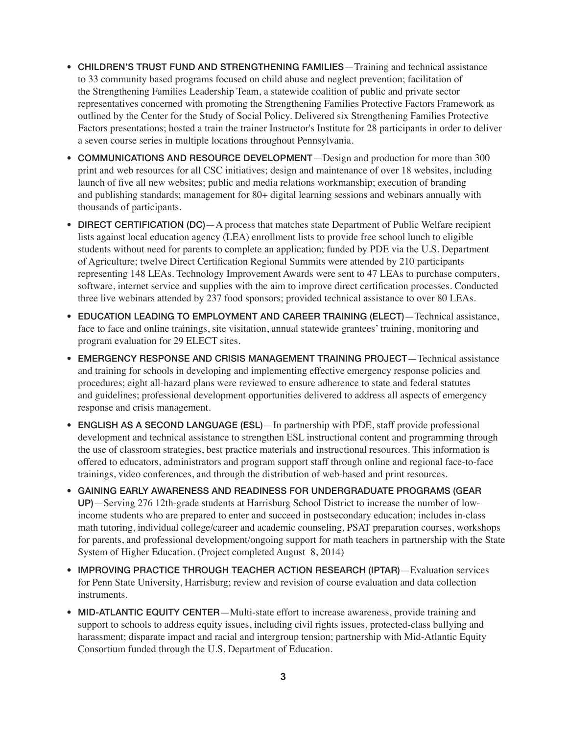- CHILDREN'S TRUST FUND AND STRENGTHENING FAMILIES—Training and technical assistance to 33 community based programs focused on child abuse and neglect prevention; facilitation of the Strengthening Families Leadership Team, a statewide coalition of public and private sector representatives concerned with promoting the Strengthening Families Protective Factors Framework as outlined by the Center for the Study of Social Policy. Delivered six Strengthening Families Protective Factors presentations; hosted a train the trainer Instructor's Institute for 28 participants in order to deliver a seven course series in multiple locations throughout Pennsylvania.
- COMMUNICATIONS AND RESOURCE DEVELOPMENT—Design and production for more than 300 print and web resources for all CSC initiatives; design and maintenance of over 18 websites, including launch of five all new websites; public and media relations workmanship; execution of branding and publishing standards; management for 80+ digital learning sessions and webinars annually with thousands of participants.
- DIRECT CERTIFICATION (DC)—A process that matches state Department of Public Welfare recipient lists against local education agency (LEA) enrollment lists to provide free school lunch to eligible students without need for parents to complete an application; funded by PDE via the U.S. Department of Agriculture; twelve Direct Certification Regional Summits were attended by 210 participants representing 148 LEAs. Technology Improvement Awards were sent to 47 LEAs to purchase computers, software, internet service and supplies with the aim to improve direct certification processes. Conducted three live webinars attended by 237 food sponsors; provided technical assistance to over 80 LEAs.
- EDUCATION LEADING TO EMPLOYMENT AND CAREER TRAINING (ELECT)—Technical assistance, face to face and online trainings, site visitation, annual statewide grantees' training, monitoring and program evaluation for 29 ELECT sites.
- EMERGENCY RESPONSE AND CRISIS MANAGEMENT TRAINING PROJECT—Technical assistance and training for schools in developing and implementing effective emergency response policies and procedures; eight all-hazard plans were reviewed to ensure adherence to state and federal statutes and guidelines; professional development opportunities delivered to address all aspects of emergency response and crisis management.
- ENGLISH AS A SECOND LANGUAGE (ESL)—In partnership with PDE, staff provide professional development and technical assistance to strengthen ESL instructional content and programming through the use of classroom strategies, best practice materials and instructional resources. This information is offered to educators, administrators and program support staff through online and regional face-to-face trainings, video conferences, and through the distribution of web-based and print resources.
- • GAINING EARLY AWARENESS AND READINESS FOR UNDERGRADUATE PROGRAMS (GEAR UP)—Serving 276 12th-grade students at Harrisburg School District to increase the number of lowincome students who are prepared to enter and succeed in postsecondary education; includes in-class math tutoring, individual college/career and academic counseling, PSAT preparation courses, workshops for parents, and professional development/ongoing support for math teachers in partnership with the State System of Higher Education. (Project completed August 8, 2014)
- • IMPROVING PRACTICE THROUGH TEACHER ACTION RESEARCH (IPTAR)—Evaluation services for Penn State University, Harrisburg; review and revision of course evaluation and data collection instruments.
- MID-ATLANTIC EQUITY CENTER—Multi-state effort to increase awareness, provide training and support to schools to address equity issues, including civil rights issues, protected-class bullying and harassment; disparate impact and racial and intergroup tension; partnership with Mid-Atlantic Equity Consortium funded through the U.S. Department of Education.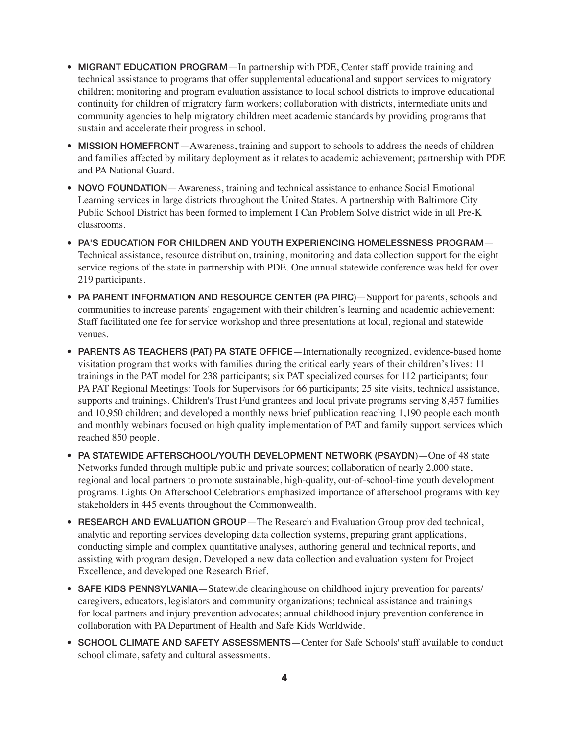- MIGRANT EDUCATION PROGRAM—In partnership with PDE, Center staff provide training and technical assistance to programs that offer supplemental educational and support services to migratory children; monitoring and program evaluation assistance to local school districts to improve educational continuity for children of migratory farm workers; collaboration with districts, intermediate units and community agencies to help migratory children meet academic standards by providing programs that sustain and accelerate their progress in school.
- MISSION HOMEFRONT—Awareness, training and support to schools to address the needs of children and families affected by military deployment as it relates to academic achievement; partnership with PDE and PA National Guard.
- NOVO FOUNDATION—Awareness, training and technical assistance to enhance Social Emotional Learning services in large districts throughout the United States. A partnership with Baltimore City Public School District has been formed to implement I Can Problem Solve district wide in all Pre-K classrooms.
- PA'S EDUCATION FOR CHILDREN AND YOUTH EXPERIENCING HOMELESSNESS PROGRAM-Technical assistance, resource distribution, training, monitoring and data collection support for the eight service regions of the state in partnership with PDE. One annual statewide conference was held for over 219 participants.
- PA PARENT INFORMATION AND RESOURCE CENTER (PA PIRC)—Support for parents, schools and communities to increase parents' engagement with their children's learning and academic achievement: Staff facilitated one fee for service workshop and three presentations at local, regional and statewide venues.
- PARENTS AS TEACHERS (PAT) PA STATE OFFICE—Internationally recognized, evidence-based home visitation program that works with families during the critical early years of their children's lives: 11 trainings in the PAT model for 238 participants; six PAT specialized courses for 112 participants; four PA PAT Regional Meetings: Tools for Supervisors for 66 participants; 25 site visits, technical assistance, supports and trainings. Children's Trust Fund grantees and local private programs serving 8,457 families and 10,950 children; and developed a monthly news brief publication reaching 1,190 people each month and monthly webinars focused on high quality implementation of PAT and family support services which reached 850 people.
- PA STATEWIDE AFTERSCHOOL/YOUTH DEVELOPMENT NETWORK (PSAYDN)-One of 48 state Networks funded through multiple public and private sources; collaboration of nearly 2,000 state, regional and local partners to promote sustainable, high-quality, out-of-school-time youth development programs. Lights On Afterschool Celebrations emphasized importance of afterschool programs with key stakeholders in 445 events throughout the Commonwealth.
- RESEARCH AND EVALUATION GROUP—The Research and Evaluation Group provided technical, analytic and reporting services developing data collection systems, preparing grant applications, conducting simple and complex quantitative analyses, authoring general and technical reports, and assisting with program design. Developed a new data collection and evaluation system for Project Excellence, and developed one Research Brief.
- SAFE KIDS PENNSYLVANIA—Statewide clearinghouse on childhood injury prevention for parents/ caregivers, educators, legislators and community organizations; technical assistance and trainings for local partners and injury prevention advocates; annual childhood injury prevention conference in collaboration with PA Department of Health and Safe Kids Worldwide.
- SCHOOL CLIMATE AND SAFETY ASSESSMENTS—Center for Safe Schools' staff available to conduct school climate, safety and cultural assessments.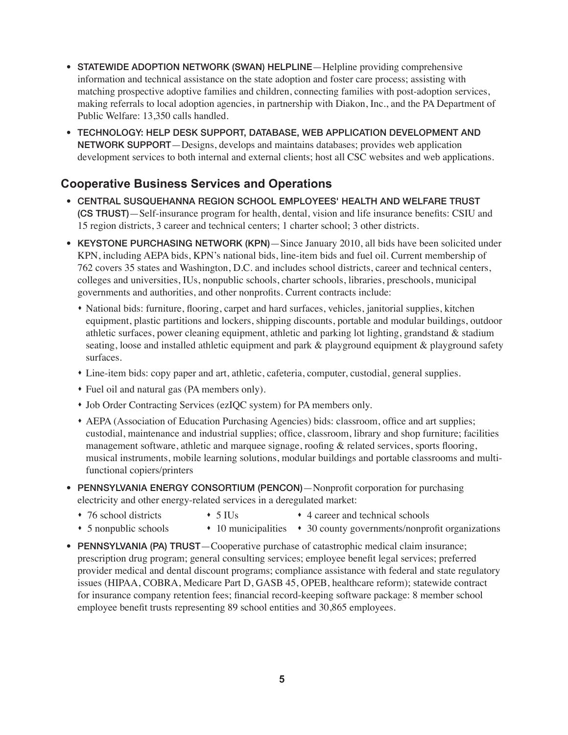- STATEWIDE ADOPTION NETWORK (SWAN) HELPLINE—Helpline providing comprehensive information and technical assistance on the state adoption and foster care process; assisting with matching prospective adoptive families and children, connecting families with post-adoption services, making referrals to local adoption agencies, in partnership with Diakon, Inc., and the PA Department of Public Welfare: 13,350 calls handled.
- TECHNOLOGY: HELP DESK SUPPORT, DATABASE, WEB APPLICATION DEVELOPMENT AND NETWORK SUPPORT—Designs, develops and maintains databases; provides web application development services to both internal and external clients; host all CSC websites and web applications.

### **Cooperative Business Services and Operations**

- • CENTRAL SUSQUEHANNA REGION SCHOOL EMPLOYEES' HEALTH AND WELFARE TRUST (CS TRUST)—Self-insurance program for health, dental, vision and life insurance benefits: CSIU and 15 region districts, 3 career and technical centers; 1 charter school; 3 other districts.
- KEYSTONE PURCHASING NETWORK (KPN) Since January 2010, all bids have been solicited under KPN, including AEPA bids, KPN's national bids, line-item bids and fuel oil. Current membership of 762 covers 35 states and Washington, D.C. and includes school districts, career and technical centers, colleges and universities, IUs, nonpublic schools, charter schools, libraries, preschools, municipal governments and authorities, and other nonprofits. Current contracts include:
	- National bids: furniture, flooring, carpet and hard surfaces, vehicles, janitorial supplies, kitchen equipment, plastic partitions and lockers, shipping discounts, portable and modular buildings, outdoor athletic surfaces, power cleaning equipment, athletic and parking lot lighting, grandstand & stadium seating, loose and installed athletic equipment and park & playground equipment & playground safety surfaces.
	- Line-item bids: copy paper and art, athletic, cafeteria, computer, custodial, general supplies.
	- Fuel oil and natural gas (PA members only).
	- Job Order Contracting Services (ezIQC system) for PA members only.
	- s AEPA (Association of Education Purchasing Agencies) bids: classroom, office and art supplies; custodial, maintenance and industrial supplies; office, classroom, library and shop furniture; facilities management software, athletic and marquee signage, roofing & related services, sports flooring, musical instruments, mobile learning solutions, modular buildings and portable classrooms and multifunctional copiers/printers
- PENNSYLVANIA ENERGY CONSORTIUM (PENCON)—Nonprofit corporation for purchasing electricity and other energy-related services in a deregulated market:
	- 76 school districts 5 IUs 4 career and technical schools
		-
	- 5 nonpublic schools 10 municipalities 30 county governments/nonprofit organizations
- PENNSYLVANIA (PA) TRUST—Cooperative purchase of catastrophic medical claim insurance; prescription drug program; general consulting services; employee benefit legal services; preferred provider medical and dental discount programs; compliance assistance with federal and state regulatory issues (HIPAA, COBRA, Medicare Part D, GASB 45, OPEB, healthcare reform); statewide contract for insurance company retention fees; financial record-keeping software package: 8 member school employee benefit trusts representing 89 school entities and 30,865 employees.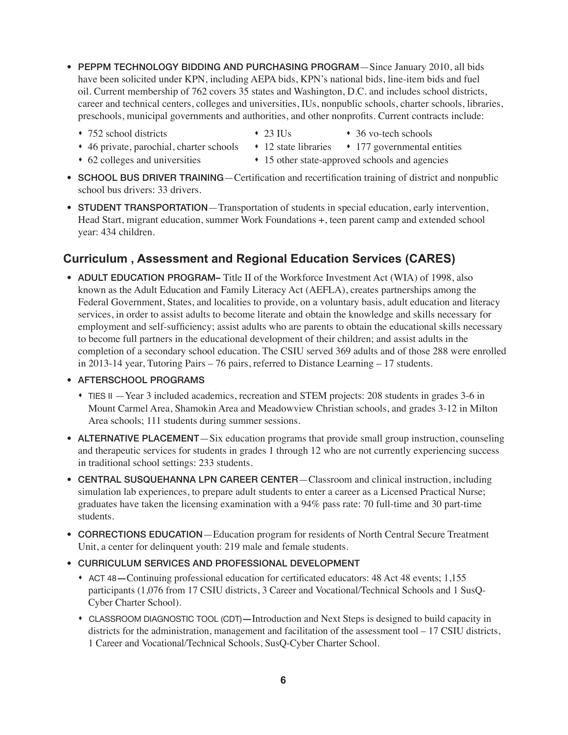- PEPPM TECHNOLOGY BIDDING AND PURCHASING PROGRAM—Since January 2010, all bids have been solicited under KPN, including AEPA bids, KPN's national bids, line-item bids and fuel oil. Current membership of 762 covers 35 states and Washington, D.C. and includes school districts, career and technical centers, colleges and universities, IUs, nonpublic schools, charter schools, libraries, preschools, municipal governments and authorities, and other nonprofits. Current contracts include:
	- 752 school districts 23 IUs 36 vo-tech schools
- 
- 
- 46 private, parochial, charter schools 12 state libraries 177 governmental entities
- 62 colleges and universities 15 other state-approved schools and agencies
- SCHOOL BUS DRIVER TRAINING—Certification and recertification training of district and nonpublic school bus drivers: 33 drivers.
- STUDENT TRANSPORTATION—Transportation of students in special education, early intervention, Head Start, migrant education, summer Work Foundations +, teen parent camp and extended school year: 434 children.

## **Curriculum , Assessment and Regional Education Services (CARES)**

- ADULT EDUCATION PROGRAM– Title II of the Workforce Investment Act (WIA) of 1998, also known as the Adult Education and Family Literacy Act (AEFLA), creates partnerships among the Federal Government, States, and localities to provide, on a voluntary basis, adult education and literacy services, in order to assist adults to become literate and obtain the knowledge and skills necessary for employment and self-sufficiency; assist adults who are parents to obtain the educational skills necessary to become full partners in the educational development of their children; and assist adults in the completion of a secondary school education. The CSIU served 369 adults and of those 288 were enrolled in 2013-14 year, Tutoring Pairs – 76 pairs, referred to Distance Learning – 17 students.
- • AFTERSCHOOL PROGRAMS
	- s TIES II —Year 3 included academics, recreation and STEM projects: 208 students in grades 3-6 in Mount Carmel Area, Shamokin Area and Meadowview Christian schools, and grades 3-12 in Milton Area schools; 111 students during summer sessions.
- ALTERNATIVE PLACEMENT—Six education programs that provide small group instruction, counseling and therapeutic services for students in grades 1 through 12 who are not currently experiencing success in traditional school settings: 233 students.
- CENTRAL SUSQUEHANNA LPN CAREER CENTER-Classroom and clinical instruction, including simulation lab experiences, to prepare adult students to enter a career as a Licensed Practical Nurse; graduates have taken the licensing examination with a 94% pass rate: 70 full-time and 30 part-time students.
- CORRECTIONS EDUCATION—Education program for residents of North Central Secure Treatment Unit, a center for delinquent youth: 219 male and female students.
- CURRICULUM SERVICES AND PROFESSIONAL DEVELOPMENT
	- s ACT 48**—**Continuing professional education for certificated educators: 48 Act 48 events; 1,155 participants (1,076 from 17 CSIU districts, 3 Career and Vocational/Technical Schools and 1 SusQ-Cyber Charter School).
	- s CLASSROOM DIAGNOSTIC TOOL (CDT)**—**Introduction and Next Steps is designed to build capacity in districts for the administration, management and facilitation of the assessment tool – 17 CSIU districts, 1 Career and Vocational/Technical Schools, SusQ-Cyber Charter School.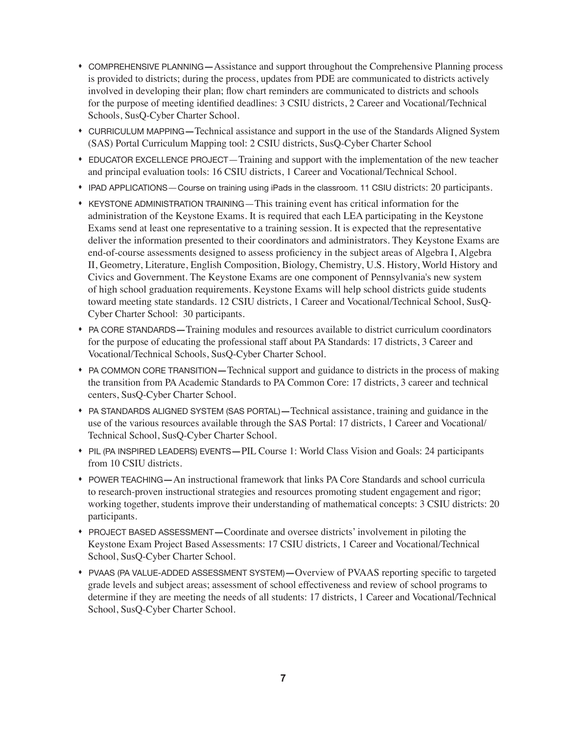- s COMPREHENSIVE PLANNING**—**Assistance and support throughout the Comprehensive Planning process is provided to districts; during the process, updates from PDE are communicated to districts actively involved in developing their plan; flow chart reminders are communicated to districts and schools for the purpose of meeting identified deadlines: 3 CSIU districts, 2 Career and Vocational/Technical Schools, SusQ-Cyber Charter School.
- s CURRICULUM MAPPING**—**Technical assistance and support in the use of the Standards Aligned System (SAS) Portal Curriculum Mapping tool: 2 CSIU districts, SusQ-Cyber Charter School
- s EDUCATOR EXCELLENCE PROJECT—Training and support with the implementation of the new teacher and principal evaluation tools: 16 CSIU districts, 1 Career and Vocational/Technical School.
- IPAD APPLICATIONS—Course on training using iPads in the classroom. 11 CSIU districts: 20 participants.
- \* KEYSTONE ADMINISTRATION TRAINING—This training event has critical information for the administration of the Keystone Exams. It is required that each LEA participating in the Keystone Exams send at least one representative to a training session. It is expected that the representative deliver the information presented to their coordinators and administrators. They Keystone Exams are end-of-course assessments designed to assess proficiency in the subject areas of Algebra I, Algebra II, Geometry, Literature, English Composition, Biology, Chemistry, U.S. History, World History and Civics and Government. The Keystone Exams are one component of Pennsylvania's new system of high school graduation requirements. Keystone Exams will help school districts guide students toward meeting state standards. 12 CSIU districts, 1 Career and Vocational/Technical School, SusQ-Cyber Charter School: 30 participants.
- s PA CORE STANDARDS**—**Training modules and resources available to district curriculum coordinators for the purpose of educating the professional staff about PA Standards: 17 districts, 3 Career and Vocational/Technical Schools, SusQ-Cyber Charter School.
- s PA COMMON CORE TRANSITION**—**Technical support and guidance to districts in the process of making the transition from PA Academic Standards to PA Common Core: 17 districts, 3 career and technical centers, SusQ-Cyber Charter School.
- s PA STANDARDS ALIGNED SYSTEM (SAS PORTAL)**—**Technical assistance, training and guidance in the use of the various resources available through the SAS Portal: 17 districts, 1 Career and Vocational/ Technical School, SusQ-Cyber Charter School.
- s PIL (PA INSPIRED LEADERS) EVENTS**—**PIL Course 1: World Class Vision and Goals: 24 participants from 10 CSIU districts.
- s POWER TEACHING**—**An instructional framework that links PA Core Standards and school curricula to research-proven instructional strategies and resources promoting student engagement and rigor; working together, students improve their understanding of mathematical concepts: 3 CSIU districts: 20 participants.
- s PROJECT BASED ASSESSMENT**—**Coordinate and oversee districts' involvement in piloting the Keystone Exam Project Based Assessments: 17 CSIU districts, 1 Career and Vocational/Technical School, SusQ-Cyber Charter School.
- s PVAAS (PA VALUE-ADDED ASSESSMENT SYSTEM)**—**Overview of PVAAS reporting specific to targeted grade levels and subject areas; assessment of school effectiveness and review of school programs to determine if they are meeting the needs of all students: 17 districts, 1 Career and Vocational/Technical School, SusQ-Cyber Charter School.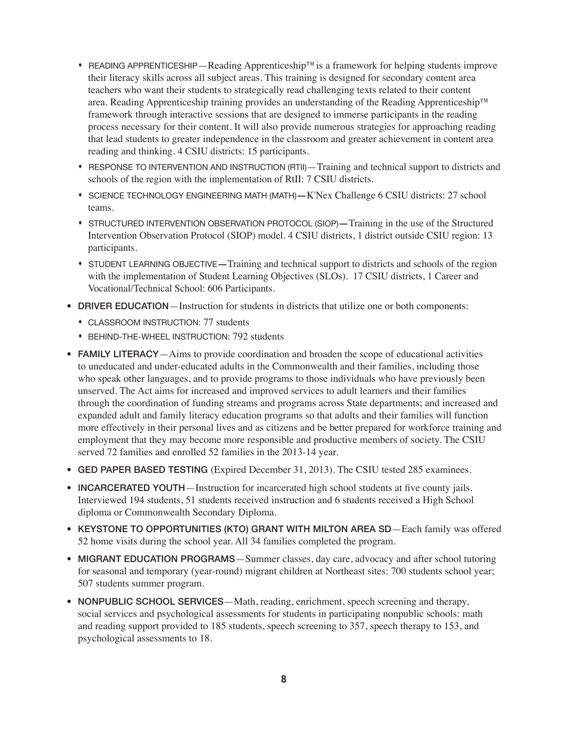- READING APPRENTICESHIP—Reading Apprenticeship™ is a framework for helping students improve their literacy skills across all subject areas. This training is designed for secondary content area teachers who want their students to strategically read challenging texts related to their content area. Reading Apprenticeship training provides an understanding of the Reading Apprenticeship™ framework through interactive sessions that are designed to immerse participants in the reading process necessary for their content. It will also provide numerous strategies for approaching reading that lead students to greater independence in the classroom and greater achievement in content area reading and thinking. 4 CSIU districts: 15 participants.
- s RESPONSE TO INTERVENTION AND INSTRUCTION (RTII)—Training and technical support to districts and schools of the region with the implementation of RtII: 7 CSIU districts.
- s SCIENCE TECHNOLOGY ENGINEERING MATH (MATH)**—**K'Nex Challenge 6 CSIU districts: 27 school teams.
- s STRUCTURED INTERVENTION OBSERVATION PROTOCOL (SIOP)**—**Training in the use of the Structured Intervention Observation Protocol (SIOP) model. 4 CSIU districts, 1 district outside CSIU region: 13 participants.
- s STUDENT LEARNING OBJECTIVE**—**Training and technical support to districts and schools of the region with the implementation of Student Learning Objectives (SLOs). 17 CSIU districts, 1 Career and Vocational/Technical School: 606 Participants.
- DRIVER EDUCATION—Instruction for students in districts that utilize one or both components:
	- CLASSROOM INSTRUCTION: 77 students
	- s BEHIND-THE-WHEEL INSTRUCTION: 792 students
- **FAMILY LITERACY**—Aims to provide coordination and broaden the scope of educational activities to uneducated and under-educated adults in the Commonwealth and their families, including those who speak other languages, and to provide programs to those individuals who have previously been unserved. The Act aims for increased and improved services to adult learners and their families through the coordination of funding streams and programs across State departments; and increased and expanded adult and family literacy education programs so that adults and their families will function more effectively in their personal lives and as citizens and be better prepared for workforce training and employment that they may become more responsible and productive members of society. The CSIU served 72 families and enrolled 52 families in the 2013-14 year.
- GED PAPER BASED TESTING (Expired December 31, 2013). The CSIU tested 285 examinees.
- **INCARCERATED YOUTH**—Instruction for incarcerated high school students at five county jails. Interviewed 194 students, 51 students received instruction and 6 students received a High School diploma or Commonwealth Secondary Diploma.
- KEYSTONE TO OPPORTUNITIES (KTO) GRANT WITH MILTON AREA SD-Each family was offered 52 home visits during the school year. All 34 families completed the program.
- MIGRANT EDUCATION PROGRAMS—Summer classes, day care, advocacy and after school tutoring for seasonal and temporary (year-round) migrant children at Northeast sites: 700 students school year; 507 students summer program.
- NONPUBLIC SCHOOL SERVICES—Math, reading, enrichment, speech screening and therapy, social services and psychological assessments for students in participating nonpublic schools: math and reading support provided to 185 students, speech screening to 357, speech therapy to 153, and psychological assessments to 18.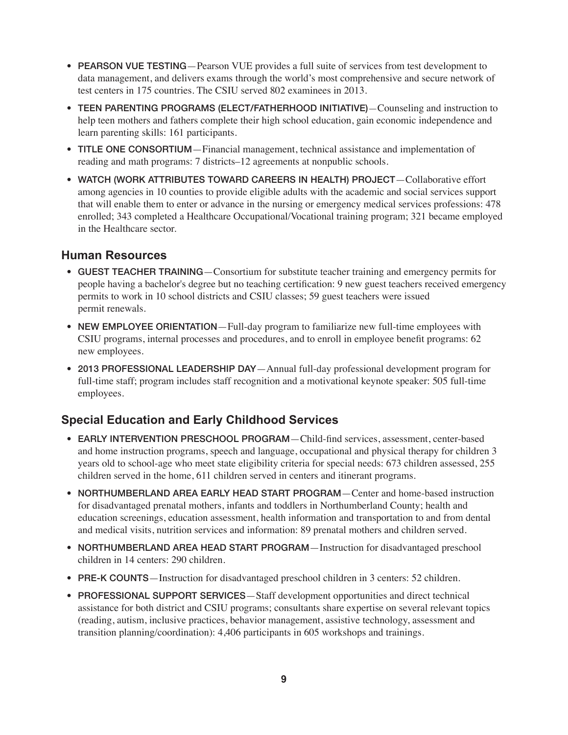- PEARSON VUE TESTING—Pearson VUE provides a full suite of services from test development to data management, and delivers exams through the world's most comprehensive and secure network of test centers in 175 countries. The CSIU served 802 examinees in 2013.
- TEEN PARENTING PROGRAMS (ELECT/FATHERHOOD INITIATIVE) Counseling and instruction to help teen mothers and fathers complete their high school education, gain economic independence and learn parenting skills: 161 participants.
- TITLE ONE CONSORTIUM—Financial management, technical assistance and implementation of reading and math programs: 7 districts–12 agreements at nonpublic schools.
- WATCH (WORK ATTRIBUTES TOWARD CAREERS IN HEALTH) PROJECT-Collaborative effort among agencies in 10 counties to provide eligible adults with the academic and social services support that will enable them to enter or advance in the nursing or emergency medical services professions: 478 enrolled; 343 completed a Healthcare Occupational/Vocational training program; 321 became employed in the Healthcare sector.

#### **Human Resources**

- GUEST TEACHER TRAINING—Consortium for substitute teacher training and emergency permits for people having a bachelor's degree but no teaching certification: 9 new guest teachers received emergency permits to work in 10 school districts and CSIU classes; 59 guest teachers were issued permit renewals.
- NEW EMPLOYEE ORIENTATION—Full-day program to familiarize new full-time employees with CSIU programs, internal processes and procedures, and to enroll in employee benefit programs: 62 new employees.
- 2013 PROFESSIONAL LEADERSHIP DAY—Annual full-day professional development program for full-time staff; program includes staff recognition and a motivational keynote speaker: 505 full-time employees.

# **Special Education and Early Childhood Services**

- EARLY INTERVENTION PRESCHOOL PROGRAM Child-find services, assessment, center-based and home instruction programs, speech and language, occupational and physical therapy for children 3 years old to school-age who meet state eligibility criteria for special needs: 673 children assessed, 255 children served in the home, 611 children served in centers and itinerant programs.
- NORTHUMBERLAND AREA EARLY HEAD START PROGRAM—Center and home-based instruction for disadvantaged prenatal mothers, infants and toddlers in Northumberland County; health and education screenings, education assessment, health information and transportation to and from dental and medical visits, nutrition services and information: 89 prenatal mothers and children served.
- NORTHUMBERLAND AREA HEAD START PROGRAM—Instruction for disadvantaged preschool children in 14 centers: 290 children.
- PRE-K COUNTS—Instruction for disadvantaged preschool children in 3 centers: 52 children.
- PROFESSIONAL SUPPORT SERVICES—Staff development opportunities and direct technical assistance for both district and CSIU programs; consultants share expertise on several relevant topics (reading, autism, inclusive practices, behavior management, assistive technology, assessment and transition planning/coordination): 4,406 participants in 605 workshops and trainings.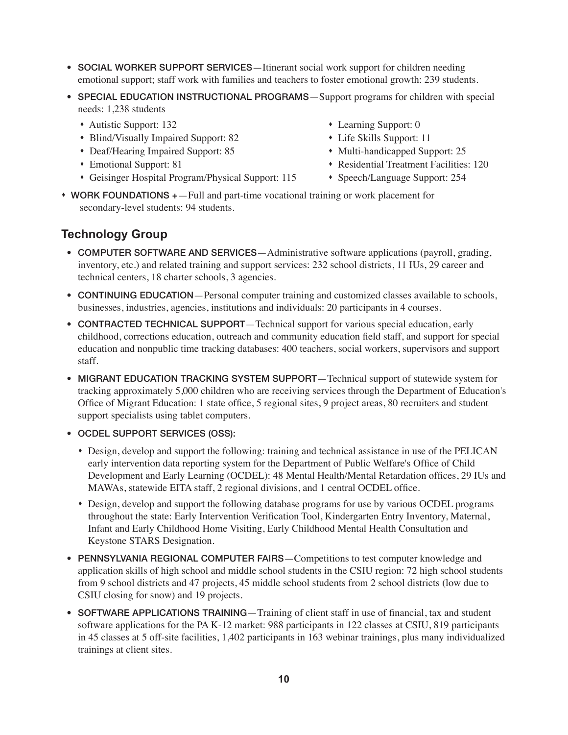- SOCIAL WORKER SUPPORT SERVICES—Itinerant social work support for children needing emotional support; staff work with families and teachers to foster emotional growth: 239 students.
- SPECIAL EDUCATION INSTRUCTIONAL PROGRAMS—Support programs for children with special needs: 1,238 students
	- Autistic Support: 132 **Support: 132** earning Support: 0
	- Blind/Visually Impaired Support: 82 Life Skills Support: 11
	- Deaf/Hearing Impaired Support: 85 Multi-handicapped Support: 25
	-
	- Geisinger Hospital Program/Physical Support: 115 Speech/Language Support: 254
- 
- 
- - Emotional Support: 81 s and set of the Residential Treatment Facilities: 120
		-
- WORK FOUNDATIONS +—Full and part-time vocational training or work placement for secondary-level students: 94 students.

#### **Technology Group**

- COMPUTER SOFTWARE AND SERVICES—Administrative software applications (payroll, grading, inventory, etc.) and related training and support services: 232 school districts, 11 IUs, 29 career and technical centers, 18 charter schools, 3 agencies.
- CONTINUING EDUCATION—Personal computer training and customized classes available to schools, businesses, industries, agencies, institutions and individuals: 20 participants in 4 courses.
- CONTRACTED TECHNICAL SUPPORT—Technical support for various special education, early childhood, corrections education, outreach and community education field staff, and support for special education and nonpublic time tracking databases: 400 teachers, social workers, supervisors and support staff.
- MIGRANT EDUCATION TRACKING SYSTEM SUPPORT—Technical support of statewide system for tracking approximately 5,000 children who are receiving services through the Department of Education's Office of Migrant Education: 1 state office, 5 regional sites, 9 project areas, 80 recruiters and student support specialists using tablet computers.
- • OCDEL SUPPORT SERVICES (OSS):
	- \* Design, develop and support the following: training and technical assistance in use of the PELICAN early intervention data reporting system for the Department of Public Welfare's Office of Child Development and Early Learning (OCDEL): 48 Mental Health/Mental Retardation offices, 29 IUs and MAWAs, statewide EITA staff, 2 regional divisions, and 1 central OCDEL office.
	- s Design, develop and support the following database programs for use by various OCDEL programs throughout the state: Early Intervention Verification Tool, Kindergarten Entry Inventory, Maternal, Infant and Early Childhood Home Visiting, Early Childhood Mental Health Consultation and Keystone STARS Designation.
- PENNSYLVANIA REGIONAL COMPUTER FAIRS—Competitions to test computer knowledge and application skills of high school and middle school students in the CSIU region: 72 high school students from 9 school districts and 47 projects, 45 middle school students from 2 school districts (low due to CSIU closing for snow) and 19 projects.
- SOFTWARE APPLICATIONS TRAINING—Training of client staff in use of financial, tax and student software applications for the PA K-12 market: 988 participants in 122 classes at CSIU, 819 participants in 45 classes at 5 off-site facilities, 1,402 participants in 163 webinar trainings, plus many individualized trainings at client sites.